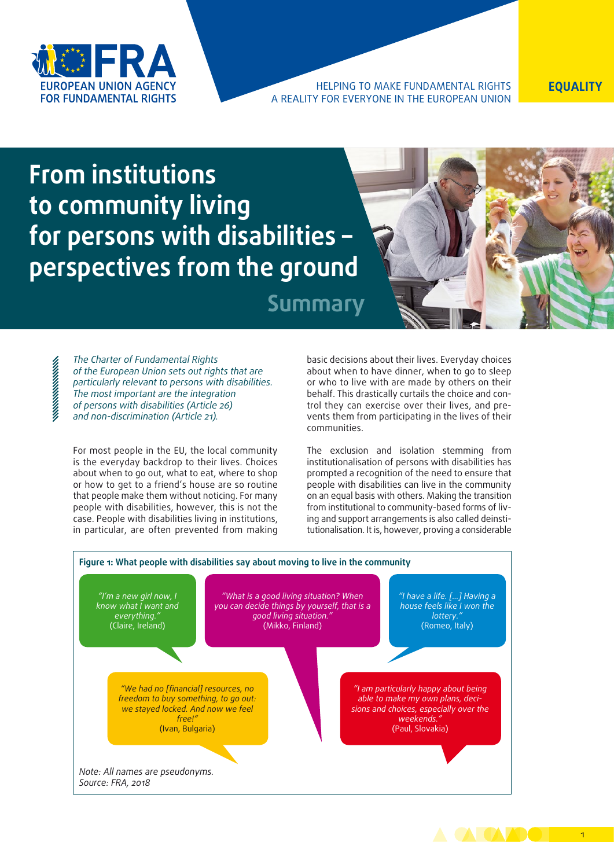

#### HELPING TO MAKE FUNDAMENTAL RIGHTS A REALITY FOR EVERYONE IN THE EUROPEAN UNION

# **From institutions to community living for persons with disabilities – perspectives from the ground**

**Summary**

*The Charter of Fundamental Rights of the European Union sets out rights that are particularly relevant to persons with disabilities. The most important are the integration of persons with disabilities (Article 26) and non‑discrimination (Article 21).*

For most people in the EU, the local community is the everyday backdrop to their lives. Choices about when to go out, what to eat, where to shop or how to get to a friend's house are so routine that people make them without noticing. For many people with disabilities, however, this is not the case. People with disabilities living in institutions, in particular, are often prevented from making basic decisions about their lives. Everyday choices about when to have dinner, when to go to sleep or who to live with are made by others on their behalf. This drastically curtails the choice and control they can exercise over their lives, and prevents them from participating in the lives of their communities.

The exclusion and isolation stemming from institutionalisation of persons with disabilities has prompted a recognition of the need to ensure that people with disabilities can live in the community on an equal basis with others. Making the transition from institutional to community-based forms of living and support arrangements is also called deinstitutionalisation. It is, however, proving a considerable



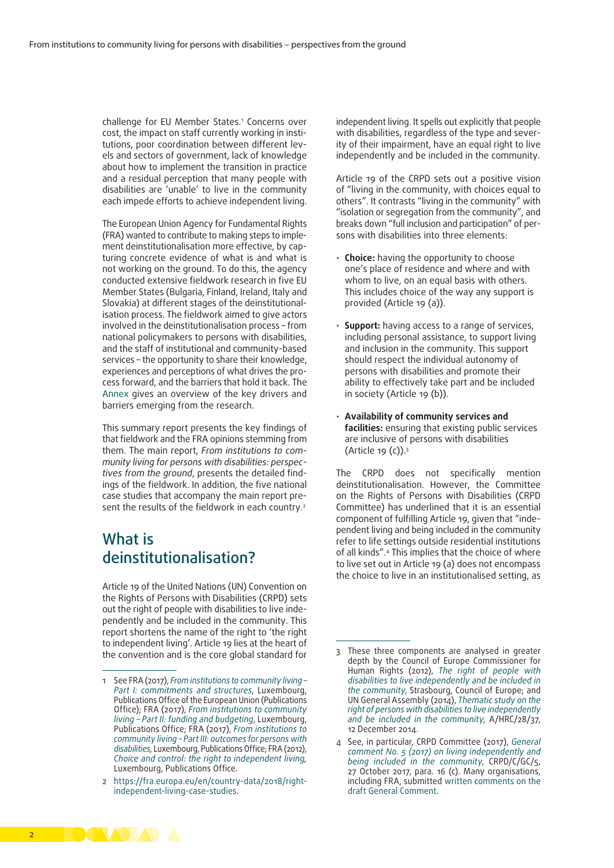challenge for EU Member States.1 Concerns over cost, the impact on staff currently working in institutions, poor coordination between different levels and sectors of government, lack of knowledge about how to implement the transition in practice and a residual perception that many people with disabilities are 'unable' to live in the community each impede efforts to achieve independent living.

The European Union Agency for Fundamental Rights (FRA) wanted to contribute to making steps to implement deinstitutionalisation more effective, by capturing concrete evidence of what is and what is not working on the ground. To do this, the agency conducted extensive fieldwork research in five EU Member States (Bulgaria, Finland, Ireland, Italy and Slovakia) at different stages of the deinstitutionalisation process. The fieldwork aimed to give actors involved in the deinstitutionalisation process – from national policymakers to persons with disabilities, and the staff of institutional and community-based services – the opportunity to share their knowledge, experiences and perceptions of what drives the process forward, and the barriers that hold it back. The [Annex](#page-9-0) gives an overview of the key drivers and barriers emerging from the research.

This summary report presents the key findings of that fieldwork and the FRA opinions stemming from them. The main report, *From institutions to com‑ munity living for persons with disabilities: perspec‑ tives from the ground*, presents the detailed findings of the fieldwork. In addition, the five national case studies that accompany the main report present the results of the fieldwork in each country.<sup>2</sup>

## What is deinstitutionalisation?

Article 19 of the United Nations (UN) Convention on the Rights of Persons with Disabilities (CRPD) sets out the right of people with disabilities to live independently and be included in the community. This report shortens the name of the right to 'the right to independent living'. Article 19 lies at the heart of the convention and is the core global standard for

independent living. It spells out explicitly that people with disabilities, regardless of the type and severity of their impairment, have an equal right to live independently and be included in the community.

Article 19 of the CRPD sets out a positive vision of "living in the community, with choices equal to others". It contrasts "living in the community" with "isolation or segregation from the community", and breaks down "full inclusion and participation" of persons with disabilities into three elements:

- **Choice:** having the opportunity to choose one's place of residence and where and with whom to live, on an equal basis with others. This includes choice of the way any support is provided (Article 19 (a)).
- **Support:** having access to a range of services, including personal assistance, to support living and inclusion in the community. This support should respect the individual autonomy of persons with disabilities and promote their ability to effectively take part and be included in society (Article 19 (b)).
- **Availability of community services and facilities:** ensuring that existing public services are inclusive of persons with disabilities (Article 19 (c)).3

The CRPD does not specifically mention deinstitutionalisation. However, the Committee on the Rights of Persons with Disabilities (CRPD Committee) has underlined that it is an essential component of fulfilling Article 19, given that "independent living and being included in the community refer to life settings outside residential institutions of all kinds".4 This implies that the choice of where to live set out in Article 19 (a) does not encompass the choice to live in an institutionalised setting, as



<sup>1</sup> See FRA (2017), *[From institutions to community living –](http://fra.europa.eu/en/publication/2017/independent-living-structures)  [Part I: commitments and structures](http://fra.europa.eu/en/publication/2017/independent-living-structures)*, Luxembourg, Publications Office of the European Union (Publications Office); FRA (2017), *[From institutions to community](http://fra.europa.eu/en/publication/2017/independent-living-funding)  [living – Part II: funding and budgeting](http://fra.europa.eu/en/publication/2017/independent-living-funding)*, Luxembourg, Publications Office; FRA (2017), *[From institutions to](http://fra.europa.eu/en/publication/2017/independent-living-outcomes)  [community living – Part III: outcomes for persons with](http://fra.europa.eu/en/publication/2017/independent-living-outcomes)  [disabilities,](http://fra.europa.eu/en/publication/2017/independent-living-outcomes)* Luxembourg, Publications Office; FRA (2012), *[Choice and control: the right to independent living,](http://fra.europa.eu/en/publication/2012/choice-and-control-right-independent-living)*  Luxembourg, Publications Office.

<sup>2</sup> [https://fra.europa.eu/en/country-data/2018/right](https://fra.europa.eu/en/country-data/2018/right-independent-living-case-studies)[independent-living-case-studies.](https://fra.europa.eu/en/country-data/2018/right-independent-living-case-studies)

<sup>3</sup> These three components are analysed in greater depth by the Council of Europe Commissioner for Human Rights (2012), *[The right of people with](https://www.coe.int/t/commissioner/source/prems/RightsToLiveInCommunity-GBR.pdf) [disabilities to live independently and be included in](https://www.coe.int/t/commissioner/source/prems/RightsToLiveInCommunity-GBR.pdf) [the community](https://www.coe.int/t/commissioner/source/prems/RightsToLiveInCommunity-GBR.pdf)*, Strasbourg, Council of Europe; and UN General Assembly (2014), *[Thematic study on the](http://www.ohchr.org/EN/HRBodies/HRC/RegularSessions/Session28/Documents/A_HRC_28_37_ENG.doc) [right of persons with disabilities to live independently](http://www.ohchr.org/EN/HRBodies/HRC/RegularSessions/Session28/Documents/A_HRC_28_37_ENG.doc) [and be included in the community](http://www.ohchr.org/EN/HRBodies/HRC/RegularSessions/Session28/Documents/A_HRC_28_37_ENG.doc)*, A/HRC/28/37, 12 December 2014.

<sup>4</sup> See, in particular, CRPD Committee (2017), *[General](http://tbinternet.ohchr.org/_layouts/treatybodyexternal/Download.aspx?symbolno=CRPD/C/GC/5&Lang=en) [comment No. 5 \(2017\) on living independently and](http://tbinternet.ohchr.org/_layouts/treatybodyexternal/Download.aspx?symbolno=CRPD/C/GC/5&Lang=en) [being included in the community](http://tbinternet.ohchr.org/_layouts/treatybodyexternal/Download.aspx?symbolno=CRPD/C/GC/5&Lang=en)*, CRPD/C/GC/5, 27 October 2017, para. 16 (c). Many organisations, including FRA, submitted [written comments on the](http://www.ohchr.org/EN/HRBodies/CRPD/Pages/WSArticle19.aspx) [draft](http://www.ohchr.org/EN/HRBodies/CRPD/Pages/WSArticle19.aspx) General Comment.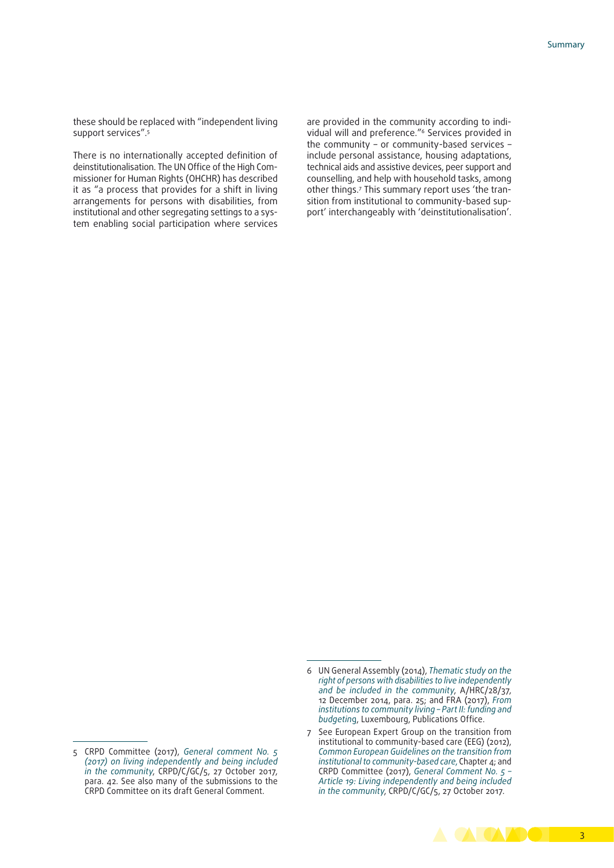these should be replaced with "independent living support services".5

There is no internationally accepted definition of deinstitutionalisation. The UN Office of the High Commissioner for Human Rights (OHCHR) has described it as "a process that provides for a shift in living arrangements for persons with disabilities, from institutional and other segregating settings to a system enabling social participation where services

are provided in the community according to individual will and preference."6 Services provided in the community – or community-based services – include personal assistance, housing adaptations, technical aids and assistive devices, peer support and counselling, and help with household tasks, among other things.7 This summary report uses 'the transition from institutional to community-based support' interchangeably with 'deinstitutionalisation'.

5 CRPD Committee (2017), *[General comment No. 5](http://tbinternet.ohchr.org/_layouts/treatybodyexternal/Download.aspx?symbolno=CRPD/C/GC/5&Lang=en) [\(2017\) on living independently and being included](http://tbinternet.ohchr.org/_layouts/treatybodyexternal/Download.aspx?symbolno=CRPD/C/GC/5&Lang=en) [in the community](http://tbinternet.ohchr.org/_layouts/treatybodyexternal/Download.aspx?symbolno=CRPD/C/GC/5&Lang=en)*, CRPD/C/GC/5, 27 October 2017, para. 42. See also many of the submissions to the CRPD Committee on its draft General Comment.

<sup>7</sup> See European Expert Group on the transition from institutional to community-based care (EEG) (2012), *[Common European Guidelines on the transition from](https://deinstitutionalisation.com/eeg-publications/) [institutional to community-based care](https://deinstitutionalisation.com/eeg-publications/)*, Chapter 4; and CRPD Committee (2017), *[General Comment No. 5 –](http://tbinternet.ohchr.org/_layouts/treatybodyexternal/Download.aspx?symbolno=CRPD/C/GC/5&Lang=en) [Article 19: Living independently and being included](http://tbinternet.ohchr.org/_layouts/treatybodyexternal/Download.aspx?symbolno=CRPD/C/GC/5&Lang=en) [in the community](http://tbinternet.ohchr.org/_layouts/treatybodyexternal/Download.aspx?symbolno=CRPD/C/GC/5&Lang=en)*, CRPD/C/GC/5, 27 October 2017.



<sup>6</sup> UN General Assembly (2014), *[Thematic study on the](http://www.ohchr.org/EN/HRBodies/HRC/RegularSessions/Session28/Documents/A_HRC_28_37_ENG.doc) [right of persons with disabilities to live independently](http://www.ohchr.org/EN/HRBodies/HRC/RegularSessions/Session28/Documents/A_HRC_28_37_ENG.doc) [and be included in the community](http://www.ohchr.org/EN/HRBodies/HRC/RegularSessions/Session28/Documents/A_HRC_28_37_ENG.doc)*, A/HRC/28/37, 12 December 2014, para. 25; and FRA (2017), *[From](http://fra.europa.eu/en/publication/2017/independent-living-funding) [institutions to community living – Part II: funding and](http://fra.europa.eu/en/publication/2017/independent-living-funding) [budgetin](http://fra.europa.eu/en/publication/2017/independent-living-funding)*g, Luxembourg, Publications Office.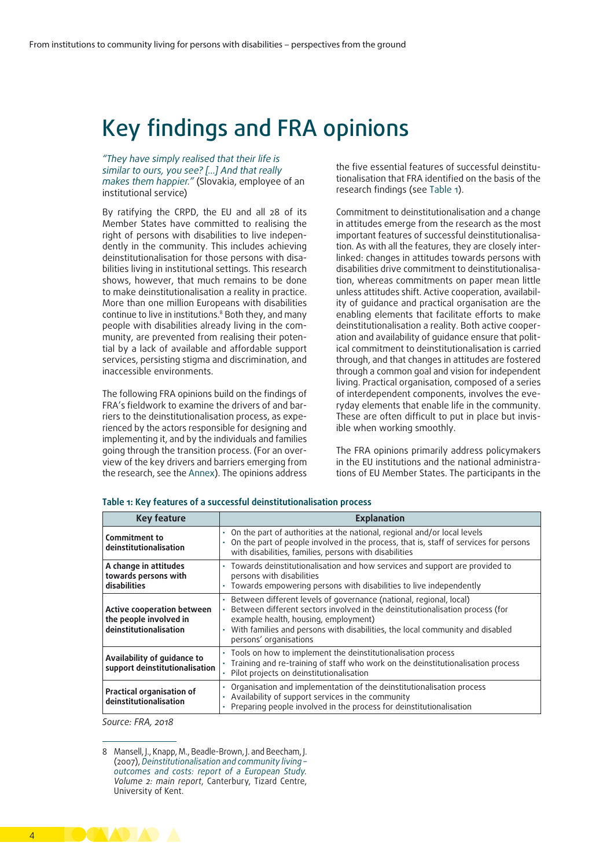## Key findings and FRA opinions

*"They have simply realised that their life is similar to ours, you see? […] And that really makes them happier."* (Slovakia, employee of an institutional service)

By ratifying the CRPD, the EU and all 28 of its Member States have committed to realising the right of persons with disabilities to live independently in the community. This includes achieving deinstitutionalisation for those persons with disabilities living in institutional settings. This research shows, however, that much remains to be done to make deinstitutionalisation a reality in practice. More than one million Europeans with disabilities continue to live in institutions.<sup>8</sup> Both they, and many people with disabilities already living in the community, are prevented from realising their potential by a lack of available and affordable support services, persisting stigma and discrimination, and inaccessible environments.

The following FRA opinions build on the findings of FRA's fieldwork to examine the drivers of and barriers to the deinstitutionalisation process, as experienced by the actors responsible for designing and implementing it, and by the individuals and families going through the transition process. (For an overview of the key drivers and barriers emerging from the research, see the [Annex](#page-9-0)). The opinions address

the five essential features of successful deinstitutionalisation that FRA identified on the basis of the research findings (see [Table 1](#page-3-0)).

Commitment to deinstitutionalisation and a change in attitudes emerge from the research as the most important features of successful deinstitutionalisation. As with all the features, they are closely interlinked: changes in attitudes towards persons with disabilities drive commitment to deinstitutionalisation, whereas commitments on paper mean little unless attitudes shift. Active cooperation, availability of guidance and practical organisation are the enabling elements that facilitate efforts to make deinstitutionalisation a reality. Both active cooperation and availability of guidance ensure that political commitment to deinstitutionalisation is carried through, and that changes in attitudes are fostered through a common goal and vision for independent living. Practical organisation, composed of a series of interdependent components, involves the everyday elements that enable life in the community. These are often difficult to put in place but invisible when working smoothly.

The FRA opinions primarily address policymakers in the EU institutions and the national administrations of EU Member States. The participants in the

| <b>Key feature</b>                                                             | <b>Explanation</b>                                                                                                                                                                                                                                                                                                  |
|--------------------------------------------------------------------------------|---------------------------------------------------------------------------------------------------------------------------------------------------------------------------------------------------------------------------------------------------------------------------------------------------------------------|
| <b>Commitment to</b><br>deinstitutionalisation                                 | On the part of authorities at the national, regional and/or local levels<br>$\bullet$<br>On the part of people involved in the process, that is, staff of services for persons<br>$\bullet$<br>with disabilities, families, persons with disabilities                                                               |
| A change in attitudes<br>towards persons with<br>disabilities                  | • Towards deinstitutionalisation and how services and support are provided to<br>persons with disabilities<br>Towards empowering persons with disabilities to live independently<br>$\bullet$                                                                                                                       |
| Active cooperation between<br>the people involved in<br>deinstitutionalisation | Between different levels of governance (national, regional, local)<br>Between different sectors involved in the deinstitutionalisation process (for<br>example health, housing, employment)<br>With families and persons with disabilities, the local community and disabled<br>$\bullet$<br>persons' organisations |
| Availability of guidance to<br>support deinstitutionalisation                  | • Tools on how to implement the deinstitutionalisation process<br>Training and re-training of staff who work on the deinstitutionalisation process<br>Pilot projects on deinstitutionalisation                                                                                                                      |
| <b>Practical organisation of</b><br>deinstitutionalisation                     | Organisation and implementation of the deinstitutionalisation process<br>$\bullet$<br>• Availability of support services in the community<br>Preparing people involved in the process for deinstitutionalisation                                                                                                    |

#### <span id="page-3-0"></span>**Table 1: Key features of a successful deinstitutionalisation process**

*Source: FRA, 2018*

<sup>8</sup> Mansell, J., Knapp, M., Beadle-Brown, J. and Beecham, J. (2007), *[Deinstitutionalisation and community living –](https://www.kent.ac.uk/tizard/research/DECL_network/documents/DECLOC_Volume_2_Report_for_Web.pdf)  [outcomes and costs: report of a European Study.](https://www.kent.ac.uk/tizard/research/DECL_network/documents/DECLOC_Volume_2_Report_for_Web.pdf) Volume 2: main report*, Canterbury, Tizard Centre, University of Kent.

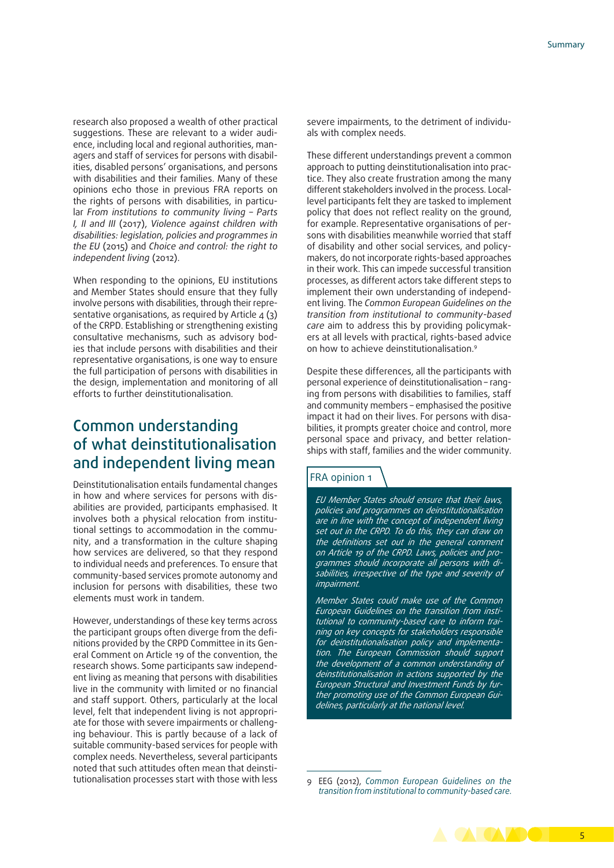research also proposed a wealth of other practical suggestions. These are relevant to a wider audience, including local and regional authorities, managers and staff of services for persons with disabilities, disabled persons' organisations, and persons with disabilities and their families. Many of these opinions echo those in previous FRA reports on the rights of persons with disabilities, in particular *From institutions to community living – Parts I, II and III* (2017), *Violence against children with disabilities: legislation, policies and programmes in the EU* (2015) and *Choice and control: the right to independent living* (2012).

When responding to the opinions, EU institutions and Member States should ensure that they fully involve persons with disabilities, through their representative organisations, as required by Article  $4(3)$ of the CRPD. Establishing or strengthening existing consultative mechanisms, such as advisory bodies that include persons with disabilities and their representative organisations, is one way to ensure the full participation of persons with disabilities in the design, implementation and monitoring of all efforts to further deinstitutionalisation.

## Common understanding of what deinstitutionalisation and independent living mean

Deinstitutionalisation entails fundamental changes in how and where services for persons with disabilities are provided, participants emphasised. It involves both a physical relocation from institutional settings to accommodation in the community, and a transformation in the culture shaping how services are delivered, so that they respond to individual needs and preferences. To ensure that community-based services promote autonomy and inclusion for persons with disabilities, these two elements must work in tandem.

However, understandings of these key terms across the participant groups often diverge from the definitions provided by the CRPD Committee in its General Comment on Article 19 of the convention, the research shows. Some participants saw independent living as meaning that persons with disabilities live in the community with limited or no financial and staff support. Others, particularly at the local level, felt that independent living is not appropriate for those with severe impairments or challenging behaviour. This is partly because of a lack of suitable community-based services for people with complex needs. Nevertheless, several participants noted that such attitudes often mean that deinstitutionalisation processes start with those with less

severe impairments, to the detriment of individuals with complex needs.

These different understandings prevent a common approach to putting deinstitutionalisation into practice. They also create frustration among the many different stakeholders involved in the process. Locallevel participants felt they are tasked to implement policy that does not reflect reality on the ground, for example. Representative organisations of persons with disabilities meanwhile worried that staff of disability and other social services, and policymakers, do not incorporate rights-based approaches in their work. This can impede successful transition processes, as different actors take different steps to implement their own understanding of independent living. The *Common European Guidelines on the transition from institutional to community-based care* aim to address this by providing policymakers at all levels with practical, rights-based advice on how to achieve deinstitutionalisation.9

Despite these differences, all the participants with personal experience of deinstitutionalisation – ranging from persons with disabilities to families, staff and community members – emphasised the positive impact it had on their lives. For persons with disabilities, it prompts greater choice and control, more personal space and privacy, and better relationships with staff, families and the wider community.

#### FRA opinion 1

*EU Member States should ensure that their laws, policies and programmes on deinstitutionalisation are in line with the concept of independent living set out in the CRPD. To do this, they can draw on the definitions set out in the general comment on Article 19 of the CRPD. Laws, policies and pro‑ grammes should incorporate all persons with di‑ sabilities, irrespective of the type and severity of impairment.*

*Member States could make use of the Common European Guidelines on the transition from insti‑ tutional to community-based care to inform trai‑ ning on key concepts for stakeholders responsible for deinstitutionalisation policy and implementa‑ tion. The European Commission should support the development of a common understanding of deinstitutionalisation in actions supported by the European Structural and Investment Funds by fur‑ ther promoting use of the Common European Gui‑ delines, particularly at the national level.*

<sup>9</sup> EEG (2012), *[Common European Guidelines on the](http://www.esn-eu.org/raw.php?page=files&id=334) [transition from institutional to community-based care](http://www.esn-eu.org/raw.php?page=files&id=334)*.

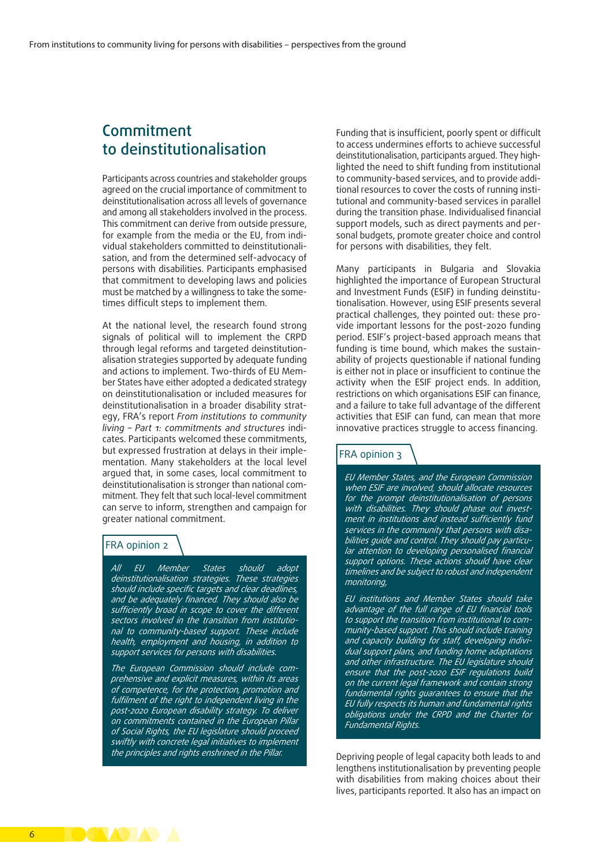## Commitment to deinstitutionalisation

Participants across countries and stakeholder groups agreed on the crucial importance of commitment to deinstitutionalisation across all levels of governance and among all stakeholders involved in the process. This commitment can derive from outside pressure, for example from the media or the EU, from individual stakeholders committed to deinstitutionalisation, and from the determined self-advocacy of persons with disabilities. Participants emphasised that commitment to developing laws and policies must be matched by a willingness to take the sometimes difficult steps to implement them.

At the national level, the research found strong signals of political will to implement the CRPD through legal reforms and targeted deinstitutionalisation strategies supported by adequate funding and actions to implement. Two-thirds of EU Member States have either adopted a dedicated strategy on deinstitutionalisation or included measures for deinstitutionalisation in a broader disability strategy, FRA's report *From institutions to community living – Part 1: commitments and structures* indicates. Participants welcomed these commitments, but expressed frustration at delays in their implementation. Many stakeholders at the local level argued that, in some cases, local commitment to deinstitutionalisation is stronger than national commitment. They felt that such local-level commitment can serve to inform, strengthen and campaign for greater national commitment.

#### FRA opinion 2

*All EU Member States should adopt deinstitutionalisation strategies. These strategies should include specific targets and clear deadlines, and be adequately financed. They should also be sufficiently broad in scope to cover the different sectors involved in the transition from institutio‑ nal to community-based support. These include health, employment and housing, in addition to support services for persons with disabilities.*

*The European Commission should include com‑ prehensive and explicit measures, within its areas of competence, for the protection, promotion and fulfilment of the right to independent living in the post-2020 European disability strategy. To deliver on commitments contained in the European Pillar of Social Rights, the EU legislature should proceed swiftly with concrete legal initiatives to implement the principles and rights enshrined in the Pillar.*

Funding that is insufficient, poorly spent or difficult to access undermines efforts to achieve successful deinstitutionalisation, participants argued. They highlighted the need to shift funding from institutional to community-based services, and to provide additional resources to cover the costs of running institutional and community-based services in parallel during the transition phase. Individualised financial support models, such as direct payments and personal budgets, promote greater choice and control for persons with disabilities, they felt.

Many participants in Bulgaria and Slovakia highlighted the importance of European Structural and Investment Funds (ESIF) in funding deinstitutionalisation. However, using ESIF presents several practical challenges, they pointed out: these provide important lessons for the post-2020 funding period. ESIF's project-based approach means that funding is time bound, which makes the sustainability of projects questionable if national funding is either not in place or insufficient to continue the activity when the ESIF project ends. In addition, restrictions on which organisations ESIF can finance, and a failure to take full advantage of the different activities that ESIF can fund, can mean that more innovative practices struggle to access financing.

#### FRA opinion 3

*EU Member States, and the European Commission when ESIF are involved, should allocate resources for the prompt deinstitutionalisation of persons with disabilities. They should phase out invest‑ ment in institutions and instead sufficiently fund services in the community that persons with disa‑ bilities guide and control. They should pay particu‑ lar attention to developing personalised financial support options. These actions should have clear timelines and be subject to robust and independent monitoring,*

*EU institutions and Member States should take advantage of the full range of EU financial tools to support the transition from institutional to com‑ munity-based support. This should include training and capacity building for staff, developing indivi‑ dual support plans, and funding home adaptations and other infrastructure. The EU legislature should ensure that the post-2020 ESIF regulations build on the current legal framework and contain strong fundamental rights guarantees to ensure that the EU fully respects its human and fundamental rights obligations under the CRPD and the Charter for Fundamental Rights.*

Depriving people of legal capacity both leads to and lengthens institutionalisation by preventing people with disabilities from making choices about their lives, participants reported. It also has an impact on

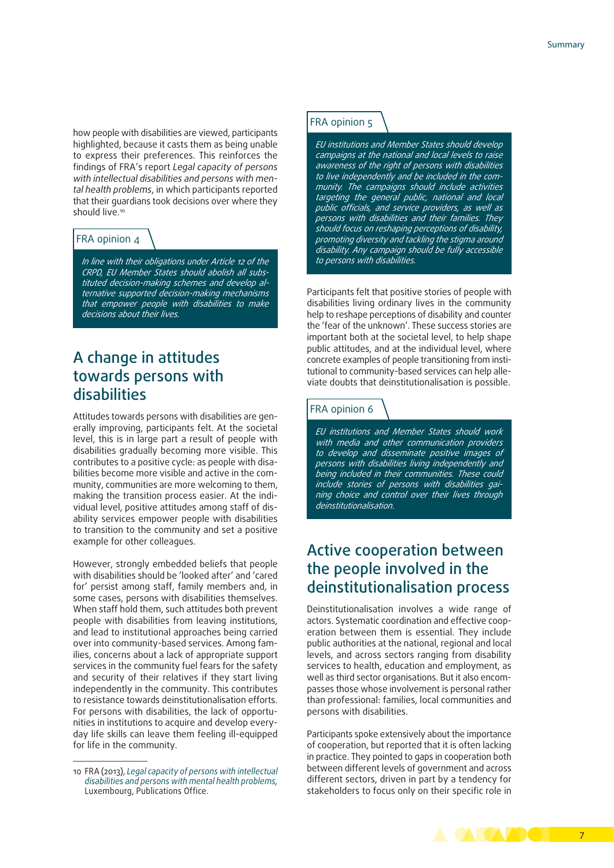how people with disabilities are viewed, participants highlighted, because it casts them as being unable to express their preferences. This reinforces the findings of FRA's report *Legal capacity of persons with intellectual disabilities and persons with men‑ tal health problems*, in which participants reported that their guardians took decisions over where they should live.<sup>10</sup>

#### FRA opinion 4

*In line with their obligations under Article 12 of the CRPD, EU Member States should abolish all subs‑ tituted decision-making schemes and develop al‑ ternative supported decision-making mechanisms that empower people with disabilities to make decisions about their lives.*

## A change in attitudes towards persons with disabilities

Attitudes towards persons with disabilities are generally improving, participants felt. At the societal level, this is in large part a result of people with disabilities gradually becoming more visible. This contributes to a positive cycle: as people with disabilities become more visible and active in the community, communities are more welcoming to them, making the transition process easier. At the individual level, positive attitudes among staff of disability services empower people with disabilities to transition to the community and set a positive example for other colleagues.

However, strongly embedded beliefs that people with disabilities should be 'looked after' and 'cared for' persist among staff, family members and, in some cases, persons with disabilities themselves. When staff hold them, such attitudes both prevent people with disabilities from leaving institutions, and lead to institutional approaches being carried over into community-based services. Among families, concerns about a lack of appropriate support services in the community fuel fears for the safety and security of their relatives if they start living independently in the community. This contributes to resistance towards deinstitutionalisation efforts. For persons with disabilities, the lack of opportunities in institutions to acquire and develop everyday life skills can leave them feeling ill-equipped for life in the community.

#### FRA opinion 5

*EU institutions and Member States should develop campaigns at the national and local levels to raise awareness of the right of persons with disabilities to live independently and be included in the com‑ munity. The campaigns should include activities targeting the general public, national and local public officials, and service providers, as well as persons with disabilities and their families. They should focus on reshaping perceptions of disability, promoting diversity and tackling the stigma around disability. Any campaign should be fully accessible to persons with disabilities.*

Participants felt that positive stories of people with disabilities living ordinary lives in the community help to reshape perceptions of disability and counter the 'fear of the unknown'. These success stories are important both at the societal level, to help shape public attitudes, and at the individual level, where concrete examples of people transitioning from institutional to community-based services can help alleviate doubts that deinstitutionalisation is possible.

#### FRA opinion 6

*EU institutions and Member States should work with media and other communication providers to develop and disseminate positive images of persons with disabilities living independently and being included in their communities. These could include stories of persons with disabilities gai‑ ning choice and control over their lives through deinstitutionalisation.*

## Active cooperation between the people involved in the deinstitutionalisation process

Deinstitutionalisation involves a wide range of actors. Systematic coordination and effective cooperation between them is essential. They include public authorities at the national, regional and local levels, and across sectors ranging from disability services to health, education and employment, as well as third sector organisations. But it also encompasses those whose involvement is personal rather than professional: families, local communities and persons with disabilities.

Participants spoke extensively about the importance of cooperation, but reported that it is often lacking in practice. They pointed to gaps in cooperation both between different levels of government and across different sectors, driven in part by a tendency for stakeholders to focus only on their specific role in



<sup>10</sup> FRA (2013), *[Legal capacity of persons with intellectual](http://fra.europa.eu/en/publication/2013/legal-capacity-persons-intellectual-disabilities-and-persons-mental-health-problems) [disabilities and persons with mental health problems](http://fra.europa.eu/en/publication/2013/legal-capacity-persons-intellectual-disabilities-and-persons-mental-health-problems),* Luxembourg, Publications Office.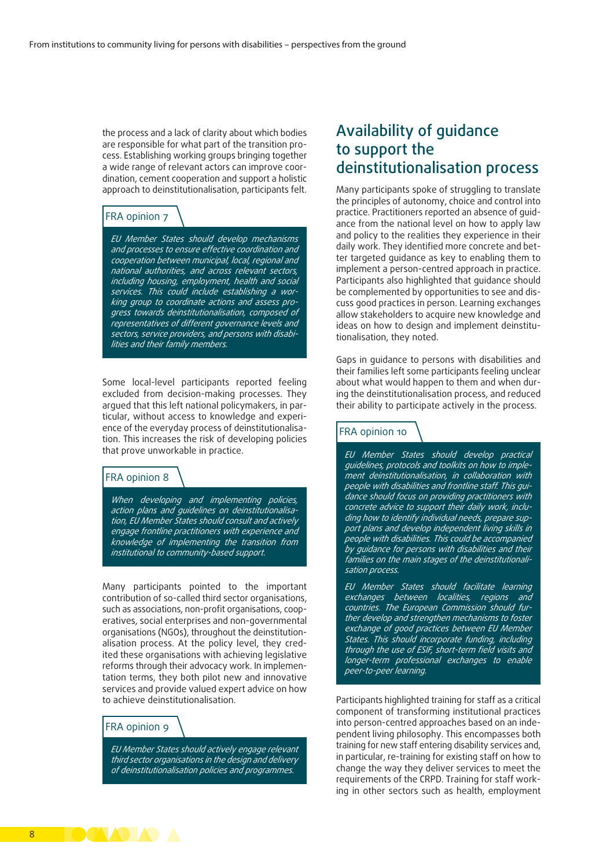the process and a lack of clarity about which bodies are responsible for what part of the transition process. Establishing working groups bringing together a wide range of relevant actors can improve coordination, cement cooperation and support a holistic approach to deinstitutionalisation, participants felt.

#### FRA opinion 7

*EU Member States should develop mechanisms and processes to ensure effective coordination and cooperation between municipal, local, regional and national authorities, and across relevant sectors, including housing, employment, health and social services. This could include establishing a wor‑ king group to coordinate actions and assess pro‑ gress towards deinstitutionalisation, composed of representatives of different governance levels and sectors, service providers, and persons with disabi‑ lities and their family members.*

Some local-level participants reported feeling excluded from decision-making processes. They argued that this left national policymakers, in particular, without access to knowledge and experience of the everyday process of deinstitutionalisation. This increases the risk of developing policies that prove unworkable in practice.

#### FRA opinion 8

*When developing and implementing policies, action plans and guidelines on deinstitutionalisa‑ tion, EU Member States should consult and actively engage frontline practitioners with experience and knowledge of implementing the transition from institutional to community-based support.*

Many participants pointed to the important contribution of so-called third sector organisations, such as associations, non-profit organisations, cooperatives, social enterprises and non-governmental organisations (NGOs), throughout the deinstitutionalisation process. At the policy level, they credited these organisations with achieving legislative reforms through their advocacy work. In implementation terms, they both pilot new and innovative services and provide valued expert advice on how to achieve deinstitutionalisation.

#### FRA opinion 9

*EU Member States should actively engage relevant third sector organisations in the design and delivery of deinstitutionalisation policies and programmes.*

## Availability of guidance to support the deinstitutionalisation process

Many participants spoke of struggling to translate the principles of autonomy, choice and control into practice. Practitioners reported an absence of guidance from the national level on how to apply law and policy to the realities they experience in their daily work. They identified more concrete and better targeted guidance as key to enabling them to implement a person-centred approach in practice. Participants also highlighted that guidance should be complemented by opportunities to see and discuss good practices in person. Learning exchanges allow stakeholders to acquire new knowledge and ideas on how to design and implement deinstitutionalisation, they noted.

Gaps in guidance to persons with disabilities and their families left some participants feeling unclear about what would happen to them and when during the deinstitutionalisation process, and reduced their ability to participate actively in the process.

#### FRA opinion 10

*EU Member States should develop practical guidelines, protocols and toolkits on how to imple‑ ment deinstitutionalisation, in collaboration with people with disabilities and frontline staff. This gui‑ dance should focus on providing practitioners with concrete advice to support their daily work, inclu‑ ding how to identify individual needs, prepare sup‑ port plans and develop independent living skills in people with disabilities. This could be accompanied by guidance for persons with disabilities and their families on the main stages of the deinstitutionali‑ sation process.*

*EU Member States should facilitate learning exchanges between localities, regions and countries. The European Commission should fur‑ ther develop and strengthen mechanisms to foster exchange of good practices between EU Member States. This should incorporate funding, including through the use of ESIF, short-term field visits and longer-term professional exchanges to enable peer-to-peer learning.*

Participants highlighted training for staff as a critical component of transforming institutional practices into person-centred approaches based on an independent living philosophy. This encompasses both training for new staff entering disability services and, in particular, re-training for existing staff on how to change the way they deliver services to meet the requirements of the CRPD. Training for staff working in other sectors such as health, employment

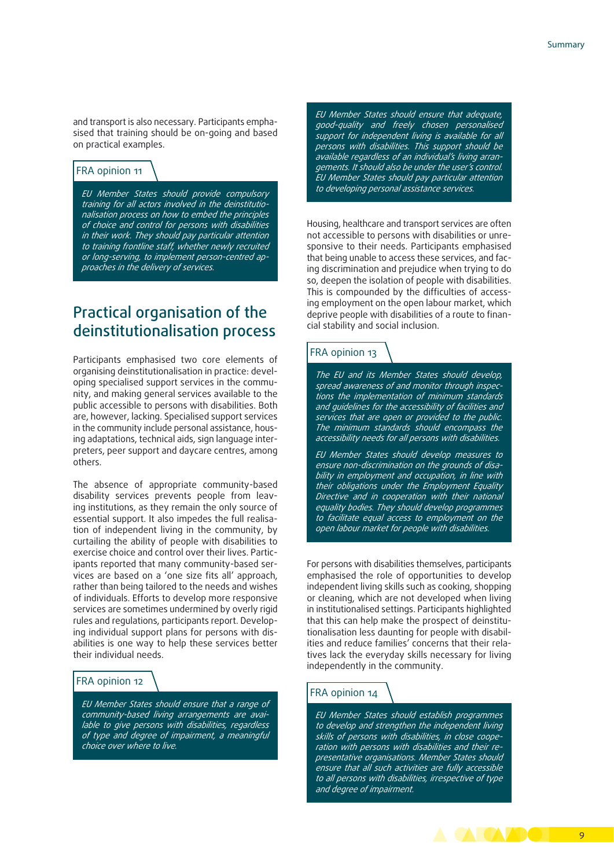and transport is also necessary. Participants emphasised that training should be on-going and based on practical examples.

#### FRA opinion 11

*EU Member States should provide compulsory training for all actors involved in the deinstitutio‑ nalisation process on how to embed the principles of choice and control for persons with disabilities in their work. They should pay particular attention to training frontline staff, whether newly recruited or long-serving, to implement person-centred ap‑ proaches in the delivery of services.*

## Practical organisation of the deinstitutionalisation process

Participants emphasised two core elements of organising deinstitutionalisation in practice: developing specialised support services in the community, and making general services available to the public accessible to persons with disabilities. Both are, however, lacking. Specialised support services in the community include personal assistance, housing adaptations, technical aids, sign language interpreters, peer support and daycare centres, among others.

The absence of appropriate community-based disability services prevents people from leaving institutions, as they remain the only source of essential support. It also impedes the full realisation of independent living in the community, by curtailing the ability of people with disabilities to exercise choice and control over their lives. Participants reported that many community-based services are based on a 'one size fits all' approach, rather than being tailored to the needs and wishes of individuals. Efforts to develop more responsive services are sometimes undermined by overly rigid rules and regulations, participants report. Developing individual support plans for persons with disabilities is one way to help these services better their individual needs.

#### FRA opinion 12

*EU Member States should ensure that a range of community-based living arrangements are avai‑ lable to give persons with disabilities, regardless of type and degree of impairment, a meaningful choice over where to live.*

*EU Member States should ensure that adequate, good-quality and freely chosen personalised support for independent living is available for all persons with disabilities. This support should be available regardless of an individual's living arran‑ gements. It should also be under the user's control. EU Member States should pay particular attention to developing personal assistance services.*

Housing, healthcare and transport services are often not accessible to persons with disabilities or unresponsive to their needs. Participants emphasised that being unable to access these services, and facing discrimination and prejudice when trying to do so, deepen the isolation of people with disabilities. This is compounded by the difficulties of accessing employment on the open labour market, which deprive people with disabilities of a route to financial stability and social inclusion.

#### FRA opinion 13

*The EU and its Member States should develop, spread awareness of and monitor through inspec‑ tions the implementation of minimum standards and guidelines for the accessibility of facilities and services that are open or provided to the public. The minimum standards should encompass the accessibility needs for all persons with disabilities.*

*EU Member States should develop measures to ensure non-discrimination on the grounds of disa‑ bility in employment and occupation, in line with their obligations under the Employment Equality Directive and in cooperation with their national equality bodies. They should develop programmes to facilitate equal access to employment on the open labour market for people with disabilities.*

For persons with disabilities themselves, participants emphasised the role of opportunities to develop independent living skills such as cooking, shopping or cleaning, which are not developed when living in institutionalised settings. Participants highlighted that this can help make the prospect of deinstitutionalisation less daunting for people with disabilities and reduce families' concerns that their relatives lack the everyday skills necessary for living independently in the community.

#### FRA opinion 14

*EU Member States should establish programmes to develop and strengthen the independent living skills of persons with disabilities, in close coope‑ ration with persons with disabilities and their re‑ presentative organisations. Member States should ensure that all such activities are fully accessible to all persons with disabilities, irrespective of type and degree of impairment.*

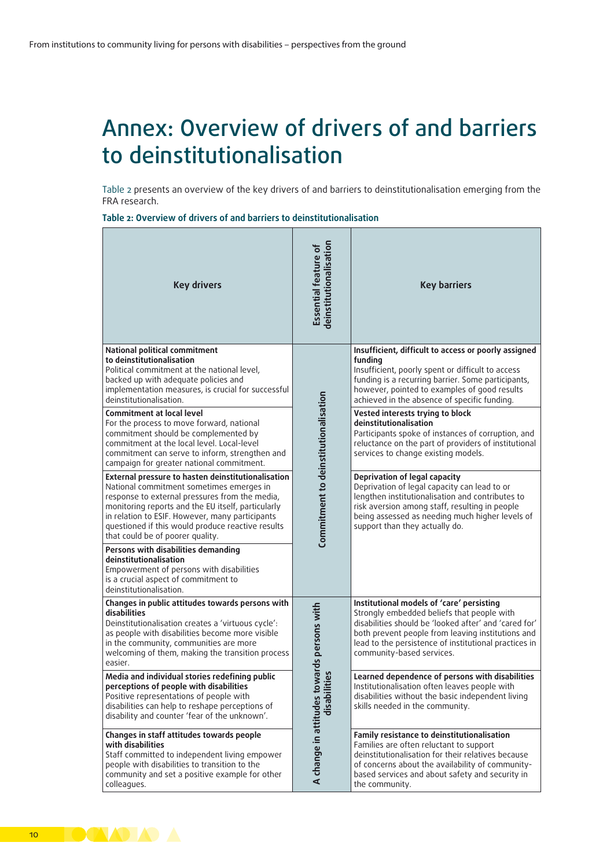## <span id="page-9-0"></span>Annex: Overview of drivers of and barriers to deinstitutionalisation

[Table 2](#page-9-1) presents an overview of the key drivers of and barriers to deinstitutionalisation emerging from the FRA research.

<span id="page-9-1"></span>**Table 2: Overview of drivers of and barriers to deinstitutionalisation**

| <b>Key drivers</b>                                                                                                                                                                                                                                                                                                                                 | deinstitutionalisation<br>Essential feature of | <b>Key barriers</b>                                                                                                                                                                                                                                                                         |
|----------------------------------------------------------------------------------------------------------------------------------------------------------------------------------------------------------------------------------------------------------------------------------------------------------------------------------------------------|------------------------------------------------|---------------------------------------------------------------------------------------------------------------------------------------------------------------------------------------------------------------------------------------------------------------------------------------------|
| National political commitment<br>to deinstitutionalisation<br>Political commitment at the national level,<br>backed up with adequate policies and<br>implementation measures, is crucial for successful<br>deinstitutionalisation.                                                                                                                 |                                                | Insufficient, difficult to access or poorly assigned<br>funding<br>Insufficient, poorly spent or difficult to access<br>funding is a recurring barrier. Some participants,<br>however, pointed to examples of good results<br>achieved in the absence of specific funding.                  |
| <b>Commitment at local level</b><br>For the process to move forward, national<br>commitment should be complemented by<br>commitment at the local level. Local-level<br>commitment can serve to inform, strengthen and<br>campaign for greater national commitment.                                                                                 | Commitment to deinstitutionalisation           | Vested interests trying to block<br>deinstitutionalisation<br>Participants spoke of instances of corruption, and<br>reluctance on the part of providers of institutional<br>services to change existing models.                                                                             |
| External pressure to hasten deinstitutionalisation<br>National commitment sometimes emerges in<br>response to external pressures from the media,<br>monitoring reports and the EU itself, particularly<br>in relation to ESIF. However, many participants<br>questioned if this would produce reactive results<br>that could be of poorer quality. |                                                | Deprivation of legal capacity<br>Deprivation of legal capacity can lead to or<br>lengthen institutionalisation and contributes to<br>risk aversion among staff, resulting in people<br>being assessed as needing much higher levels of<br>support than they actually do.                    |
| Persons with disabilities demanding<br>deinstitutionalisation<br>Empowerment of persons with disabilities<br>is a crucial aspect of commitment to<br>deinstitutionalisation.                                                                                                                                                                       |                                                |                                                                                                                                                                                                                                                                                             |
| Changes in public attitudes towards persons with<br>disabilities<br>Deinstitutionalisation creates a 'virtuous cycle':<br>as people with disabilities become more visible<br>in the community, communities are more<br>welcoming of them, making the transition process<br>easier.                                                                 | towards persons with                           | Institutional models of 'care' persisting<br>Strongly embedded beliefs that people with<br>disabilities should be 'looked after' and 'cared for'<br>both prevent people from leaving institutions and<br>lead to the persistence of institutional practices in<br>community-based services. |
| Media and individual stories redefining public<br>perceptions of people with disabilities<br>Positive representations of people with<br>disabilities can help to reshape perceptions of<br>disability and counter 'fear of the unknown'.                                                                                                           | lities<br>disabi                               | Learned dependence of persons with disabilities<br>Institutionalisation often leaves people with<br>disabilities without the basic independent living<br>skills needed in the community.                                                                                                    |
| Changes in staff attitudes towards people<br>with disabilities<br>Staff committed to independent living empower<br>people with disabilities to transition to the<br>community and set a positive example for other<br>colleagues.                                                                                                                  | A change in attitudes                          | Family resistance to deinstitutionalisation<br>Families are often reluctant to support<br>deinstitutionalisation for their relatives because<br>of concerns about the availability of community-<br>based services and about safety and security in<br>the community.                       |

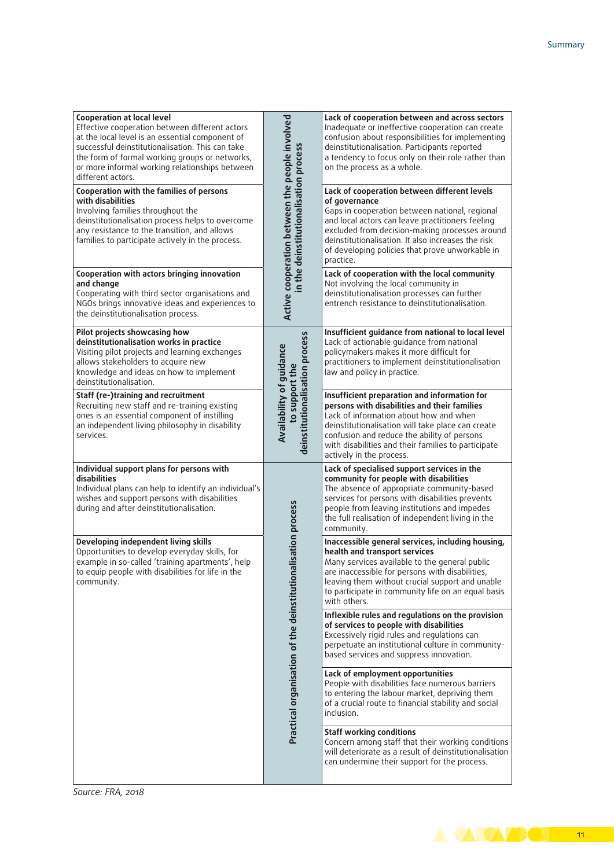| <b>Cooperation at local level</b><br>Effective cooperation between different actors<br>at the local level is an essential component of<br>successful deinstitutionalisation. This can take<br>the form of formal working groups or networks,<br>or more informal working relationships between<br>different actors.<br>Cooperation with the families of persons<br>with disabilities<br>Involving families throughout the<br>deinstitutionalisation process helps to overcome<br>any resistance to the transition, and allows<br>families to participate actively in the process. | Active cooperation between the people involved<br>in the deinstitutionalisation process | Lack of cooperation between and across sectors<br>Inadequate or ineffective cooperation can create<br>confusion about responsibilities for implementing<br>deinstitutionalisation. Participants reported<br>a tendency to focus only on their role rather than<br>on the process as a whole.<br>Lack of cooperation between different levels<br>of governance<br>Gaps in cooperation between national, regional<br>and local actors can leave practitioners feeling<br>excluded from decision-making processes around<br>deinstitutionalisation. It also increases the risk<br>of developing policies that prove unworkable in<br>practice. |
|-----------------------------------------------------------------------------------------------------------------------------------------------------------------------------------------------------------------------------------------------------------------------------------------------------------------------------------------------------------------------------------------------------------------------------------------------------------------------------------------------------------------------------------------------------------------------------------|-----------------------------------------------------------------------------------------|---------------------------------------------------------------------------------------------------------------------------------------------------------------------------------------------------------------------------------------------------------------------------------------------------------------------------------------------------------------------------------------------------------------------------------------------------------------------------------------------------------------------------------------------------------------------------------------------------------------------------------------------|
| Cooperation with actors bringing innovation<br>and change<br>Cooperating with third sector organisations and<br>NGOs brings innovative ideas and experiences to<br>the deinstitutionalisation process.                                                                                                                                                                                                                                                                                                                                                                            |                                                                                         | Lack of cooperation with the local community<br>Not involving the local community in<br>deinstitutionalisation processes can further<br>entrench resistance to deinstitutionalisation.                                                                                                                                                                                                                                                                                                                                                                                                                                                      |
| Pilot projects showcasing how<br>deinstitutionalisation works in practice<br>Visiting pilot projects and learning exchanges<br>allows stakeholders to acquire new<br>knowledge and ideas on how to implement<br>deinstitutionalisation.                                                                                                                                                                                                                                                                                                                                           |                                                                                         | Insufficient guidance from national to local level<br>Lack of actionable guidance from national<br>policymakers makes it more difficult for<br>practitioners to implement deinstitutionalisation<br>law and policy in practice.                                                                                                                                                                                                                                                                                                                                                                                                             |
| Staff (re-)training and recruitment<br>Recruiting new staff and re-training existing<br>ones is an essential component of instilling<br>an independent living philosophy in disability<br>services.                                                                                                                                                                                                                                                                                                                                                                               | deinstitutionalisation process<br>Availability of quidance<br>to support the            | Insufficient preparation and information for<br>persons with disabilities and their families<br>Lack of information about how and when<br>deinstitutionalisation will take place can create<br>confusion and reduce the ability of persons<br>with disabilities and their families to participate<br>actively in the process.                                                                                                                                                                                                                                                                                                               |
| Individual support plans for persons with<br>disabilities<br>Individual plans can help to identify an individual's<br>wishes and support persons with disabilities<br>during and after deinstitutionalisation.                                                                                                                                                                                                                                                                                                                                                                    |                                                                                         | Lack of specialised support services in the<br>community for people with disabilities<br>The absence of appropriate community-based<br>services for persons with disabilities prevents<br>people from leaving institutions and impedes<br>the full realisation of independent living in the<br>community.                                                                                                                                                                                                                                                                                                                                   |
| Developing independent living skills<br>Opportunities to develop everyday skills, for<br>example in so-called 'training apartments', help<br>to equip people with disabilities for life in the<br>community.                                                                                                                                                                                                                                                                                                                                                                      | alisation process                                                                       | Inaccessible general services, including housing,<br>health and transport services<br>Many services available to the general public<br>are inaccessible for persons with disabilities,<br>leaving them without crucial support and unable<br>to participate in community life on an equal basis<br>with others.                                                                                                                                                                                                                                                                                                                             |
|                                                                                                                                                                                                                                                                                                                                                                                                                                                                                                                                                                                   | Practical organisation of the deinstitution                                             | Inflexible rules and regulations on the provision<br>of services to people with disabilities<br>Excessively rigid rules and regulations can<br>perpetuate an institutional culture in community-<br>based services and suppress innovation.                                                                                                                                                                                                                                                                                                                                                                                                 |
|                                                                                                                                                                                                                                                                                                                                                                                                                                                                                                                                                                                   |                                                                                         | Lack of employment opportunities<br>People with disabilities face numerous barriers<br>to entering the labour market, depriving them<br>of a crucial route to financial stability and social<br>inclusion.                                                                                                                                                                                                                                                                                                                                                                                                                                  |
|                                                                                                                                                                                                                                                                                                                                                                                                                                                                                                                                                                                   |                                                                                         | <b>Staff working conditions</b><br>Concern among staff that their working conditions<br>will deteriorate as a result of deinstitutionalisation<br>can undermine their support for the process.                                                                                                                                                                                                                                                                                                                                                                                                                                              |